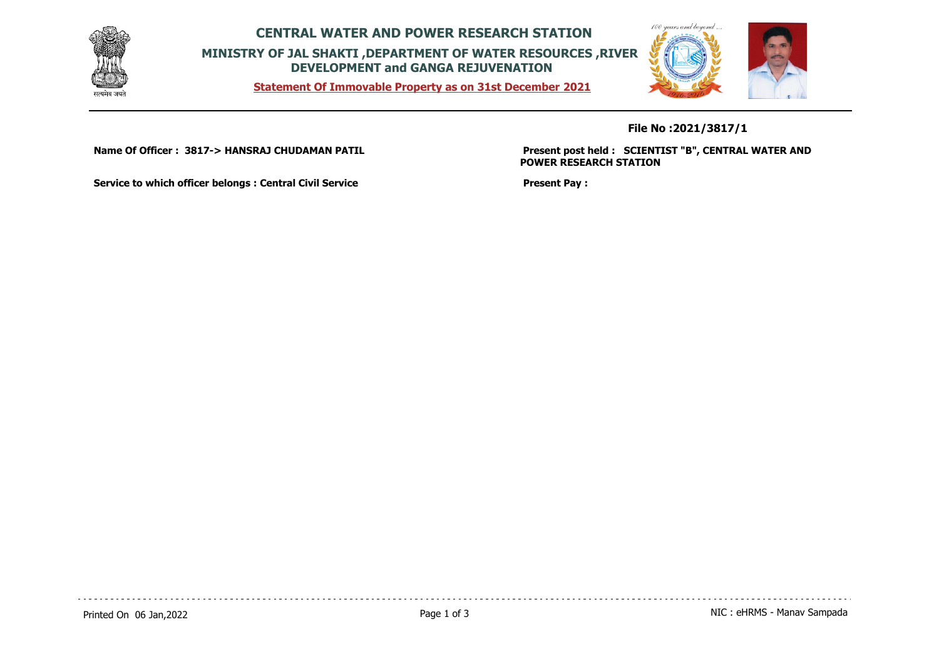

**CENTRAL WATER AND POWER RESEARCH STATION MINISTRY OF JAL SHAKTI ,DEPARTMENT OF WATER RESOURCES ,RIVER DEVELOPMENT and GANGA REJUVENATION**

**Statement Of Immovable Property as on 31st December 2021**



**File No :2021/3817/1**

**Name Of Officer : 3817-> HANSRAJ CHUDAMAN PATIL** 

**Present post held : SCIENTIST "B", CENTRAL WATER AND POWER RESEARCH STATION**

**Service to which officer belongs : Central Civil Service**

**Present Pay :**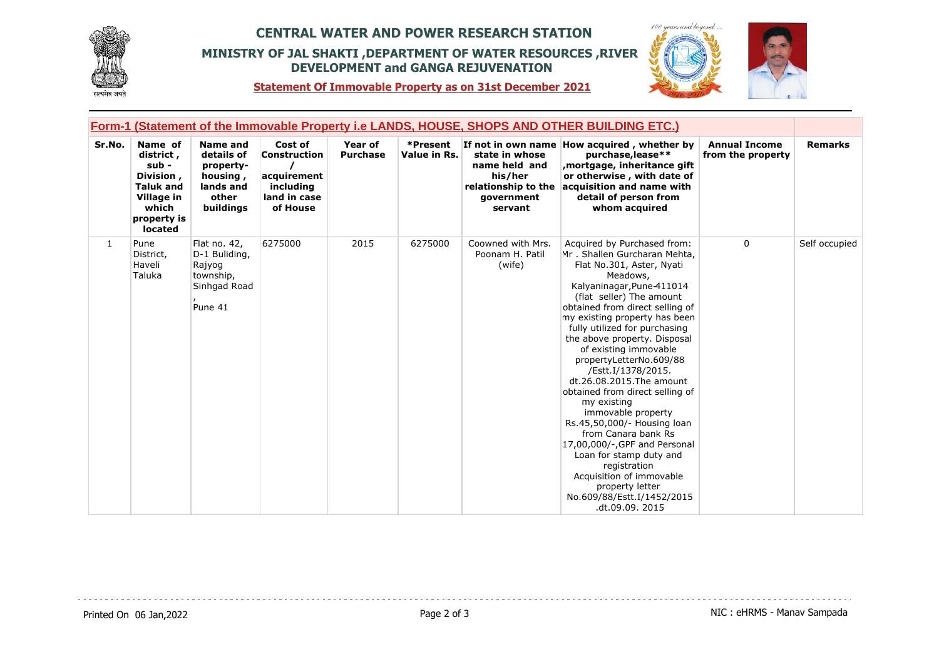

## **CENTRAL WATER AND POWER RESEARCH STATION MINISTRY OF JAL SHAKTI ,DEPARTMENT OF WATER RESOURCES ,RIVER DEVELOPMENT and GANGA REJUVENATION**



**Statement Of Immovable Property as on 31st December 2021**

|        | <u>Form-1 (Statement of the Immovable Property i.e LANDS, HOUSE, SHOPS AND OTHER BUILDING ETC.)</u>             |                                                                                           |                                                                                 |                            |                          |                                                                                            |                                                                                                                                                                                                                                                                                                                                                                                                                                                                                                                                                                                                                                                                                                                     |                                           |                |
|--------|-----------------------------------------------------------------------------------------------------------------|-------------------------------------------------------------------------------------------|---------------------------------------------------------------------------------|----------------------------|--------------------------|--------------------------------------------------------------------------------------------|---------------------------------------------------------------------------------------------------------------------------------------------------------------------------------------------------------------------------------------------------------------------------------------------------------------------------------------------------------------------------------------------------------------------------------------------------------------------------------------------------------------------------------------------------------------------------------------------------------------------------------------------------------------------------------------------------------------------|-------------------------------------------|----------------|
| Sr.No. | Name of<br>district,<br>sub -<br>Division,<br><b>Taluk and</b><br>Village in<br>which<br>property is<br>located | <b>Name and</b><br>details of<br>property-<br>housing,<br>lands and<br>other<br>buildings | Cost of<br>Construction<br>acquirement<br>including<br>land in case<br>of House | Year of<br><b>Purchase</b> | *Present<br>Value in Rs. | state in whose<br>name held and<br>his/her<br>relationship to the<br>qovernment<br>servant | If not in own name How acquired, whether by<br>purchase, lease**<br>mortgage, inheritance gift,<br>or otherwise, with date of<br>acquisition and name with<br>detail of person from<br>whom acquired                                                                                                                                                                                                                                                                                                                                                                                                                                                                                                                | <b>Annual Income</b><br>from the property | <b>Remarks</b> |
| 1      | Pune<br>District,<br>Haveli<br>Taluka                                                                           | Flat no. 42,<br>D-1 Buliding,<br>Rajyog<br>township,<br>Sinhgad Road<br>Pune 41           | 6275000                                                                         | 2015                       | 6275000                  | Coowned with Mrs.<br>Poonam H. Patil<br>(wife)                                             | Acquired by Purchased from:<br>Mr. Shallen Gurcharan Mehta,<br>Flat No.301, Aster, Nyati<br>Meadows,<br>Kalyaninagar, Pune-411014<br>(flat seller) The amount<br>obtained from direct selling of<br>my existing property has been<br>fully utilized for purchasing<br>the above property. Disposal<br>of existing immovable<br>propertyLetterNo.609/88<br>/Estt.I/1378/2015.<br>dt.26.08.2015. The amount<br>obtained from direct selling of<br>my existing<br>immovable property<br>Rs.45,50,000/- Housing loan<br>from Canara bank Rs<br>17,00,000/-, GPF and Personal<br>Loan for stamp duty and<br>registration<br>Acquisition of immovable<br>property letter<br>No.609/88/Estt.I/1452/2015<br>.dt.09.09. 2015 | 0                                         | Self occupied  |

dia dia dia dia 4